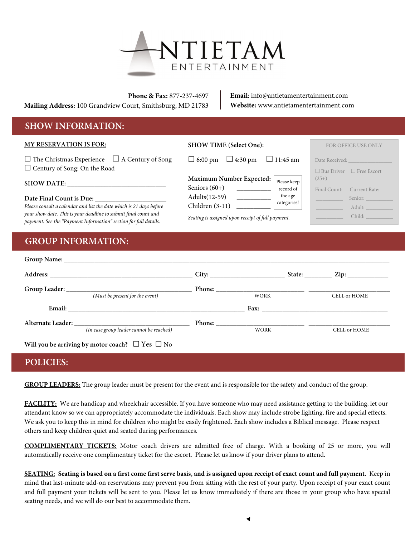

**Phone & Fax:** 877-237-4697 **Mailing Address:** 100 Grandview Court, Smithsburg, MD 21783 **Email**: info@antietamentertainment.com **Website:** www.antietamentertainment.com

## **SHOW INFORMATION:**

| <b>MY RESERVATION IS FOR:</b>                                                                                                                                      | <b>SHOW TIME (Select One):</b>                                          | <b>FOR OFFICE USE ONLY</b>                                |
|--------------------------------------------------------------------------------------------------------------------------------------------------------------------|-------------------------------------------------------------------------|-----------------------------------------------------------|
| $\Box$ The Christmas Experience $\Box$ A Century of Song<br>$\Box$ Century of Song: On the Road                                                                    | $\Box$ 4:30 pm<br>$\Box$ 11:45 am<br>$\Box$ 6:00 pm                     | Date Received:<br>$\Box$ Bus Driver<br>$\Box$ Free Escort |
| <b>SHOW DATE:</b>                                                                                                                                                  | Maximum Number Expected:<br>Please keep<br>Seniors $(60+)$<br>record of | $(25+)$<br>Final Count:<br>Current Rate:                  |
| Date Final Count is Due:<br>Please consult a calendar and list the date which is 21 days before<br>your show date. This is your deadline to submit final count and | the age<br>Adults(12-59)<br>categories!<br>Children $(3-11)$            | Senior:<br>Adult:<br>Child:                               |
| payment. See the "Payment Information" section for full details.                                                                                                   | Seating is assigned upon receipt of full payment.                       |                                                           |

# **GROUP INFORMATION:**

|                                          | City: $\qquad \qquad$ State: $\qquad \qquad$ Zip:                                                                                                                                                                              |                     |
|------------------------------------------|--------------------------------------------------------------------------------------------------------------------------------------------------------------------------------------------------------------------------------|---------------------|
|                                          |                                                                                                                                                                                                                                |                     |
| (Must be present for the event)          | <b>WORK</b>                                                                                                                                                                                                                    | CELL or HOME        |
|                                          | Fax: The contract of the contract of the contract of the contract of the contract of the contract of the contract of the contract of the contract of the contract of the contract of the contract of the contract of the contr |                     |
|                                          |                                                                                                                                                                                                                                |                     |
| (In case group leader cannot be reached) | <b>WORK</b>                                                                                                                                                                                                                    | <b>CELL or HOME</b> |

### **POLICIES:**

**GROUP LEADERS:** The group leader must be present for the event and is responsible for the safety and conduct of the group.

**FACILITY:** We are handicap and wheelchair accessible. If you have someone who may need assistance getting to the building, let our attendant know so we can appropriately accommodate the individuals. Each show may include strobe lighting, fire and special effects. We ask you to keep this in mind for children who might be easily frightened. Each show includes a Biblical message. Please respect others and keep children quiet and seated during performances.

**COMPLIMENTARY TICKETS:** Motor coach drivers are admitted free of charge. With a booking of 25 or more, you will automatically receive one complimentary ticket for the escort. Please let us know if your driver plans to attend.

**SEATING: Seating is based on a first come first serve basis, and is assigned upon receipt of exact count and full payment.** Keep in mind that last-minute add-on reservations may prevent you from sitting with the rest of your party. Upon receipt of your exact count and full payment your tickets will be sent to you. Please let us know immediately if there are those in your group who have special seating needs, and we will do our best to accommodate them.